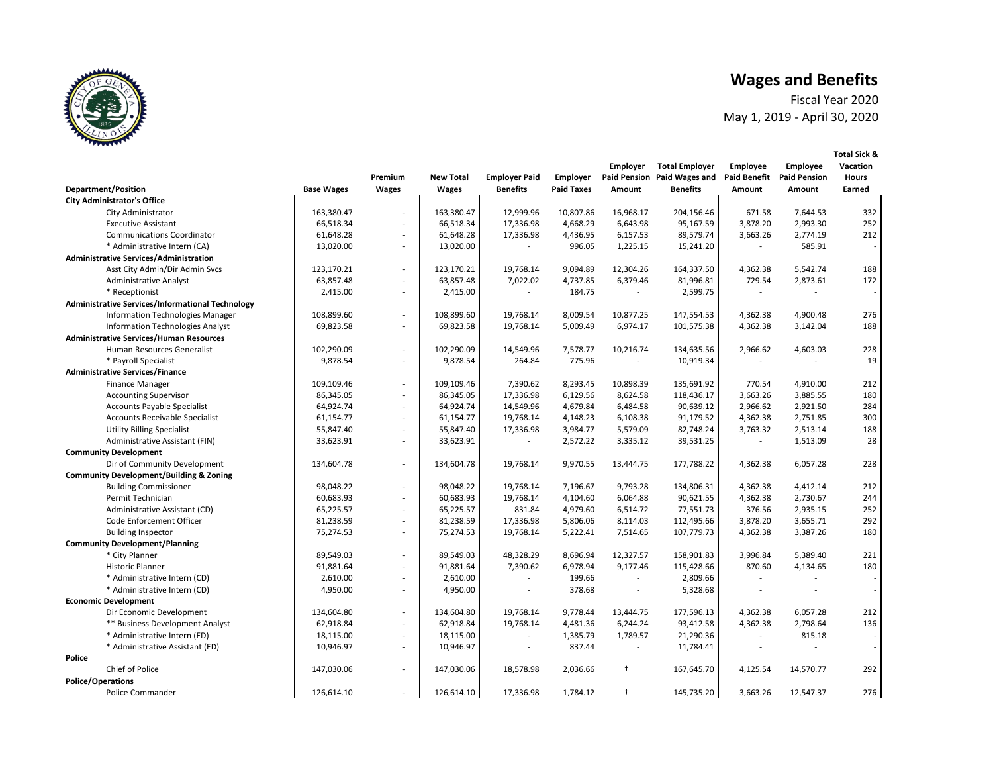Fiscal Year 2020 May 1, 2019 - April 30, 2020

|        |                                                         |                   |                         |                           |                                         |                                      | <b>Employer</b>      | <b>Total Employer</b>                          | <b>Employee</b>               | <b>Employee</b>               | Vacation               |
|--------|---------------------------------------------------------|-------------------|-------------------------|---------------------------|-----------------------------------------|--------------------------------------|----------------------|------------------------------------------------|-------------------------------|-------------------------------|------------------------|
|        | <b>Department/Position</b>                              | <b>Base Wages</b> | Premium<br><b>Wages</b> | <b>New Total</b><br>Wages | <b>Employer Paid</b><br><b>Benefits</b> | <b>Employer</b><br><b>Paid Taxes</b> | Amount               | Paid Pension Paid Wages and<br><b>Benefits</b> | <b>Paid Benefit</b><br>Amount | <b>Paid Pension</b><br>Amount | <b>Hours</b><br>Earned |
|        | <b>City Administrator's Office</b>                      |                   |                         |                           |                                         |                                      |                      |                                                |                               |                               |                        |
|        | City Administrator                                      | 163,380.47        | $\sim$                  | 163,380.47                | 12,999.96                               | 10,807.86                            | 16,968.17            | 204,156.46                                     | 671.58                        | 7,644.53                      | 332                    |
|        | <b>Executive Assistant</b>                              | 66,518.34         | $\sim$                  | 66,518.34                 | 17,336.98                               | 4,668.29                             | 6,643.98             | 95,167.59                                      | 3,878.20                      | 2,993.30                      | 252                    |
|        | <b>Communications Coordinator</b>                       | 61,648.28         | $\sim$                  | 61,648.28                 | 17,336.98                               | 4,436.95                             | 6,157.53             | 89,579.74                                      | 3,663.26                      | 2,774.19                      | 212                    |
|        | * Administrative Intern (CA)                            | 13,020.00         | $\sim$                  | 13,020.00                 |                                         | 996.05                               | 1,225.15             | 15,241.20                                      |                               | 585.91                        |                        |
|        | <b>Administrative Services/Administration</b>           |                   |                         |                           |                                         |                                      |                      |                                                |                               |                               |                        |
|        | Asst City Admin/Dir Admin Svcs                          | 123,170.21        | ÷.                      | 123,170.21                | 19,768.14                               | 9,094.89                             | 12,304.26            | 164,337.50                                     | 4,362.38                      | 5,542.74                      | 188                    |
|        | <b>Administrative Analyst</b>                           | 63,857.48         | ÷.                      | 63,857.48                 | 7,022.02                                | 4,737.85                             | 6,379.46             | 81,996.81                                      | 729.54                        | 2,873.61                      | 172                    |
|        | * Receptionist                                          | 2,415.00          | $\sim$                  | 2,415.00                  | ä,                                      | 184.75                               | $\sim$               | 2,599.75                                       | $\overline{\phantom{a}}$      | $\sim$                        |                        |
|        | <b>Administrative Services/Informational Technology</b> |                   |                         |                           |                                         |                                      |                      |                                                |                               |                               |                        |
|        |                                                         |                   | ÷.                      |                           | 19,768.14                               |                                      |                      |                                                |                               |                               | 276                    |
|        | Information Technologies Manager                        | 108,899.60        | ÷.                      | 108,899.60                |                                         | 8,009.54                             | 10,877.25            | 147,554.53                                     | 4,362.38                      | 4,900.48                      | 188                    |
|        | <b>Information Technologies Analyst</b>                 | 69,823.58         |                         | 69,823.58                 | 19,768.14                               | 5,009.49                             | 6,974.17             | 101,575.38                                     | 4,362.38                      | 3,142.04                      |                        |
|        | <b>Administrative Services/Human Resources</b>          |                   |                         |                           |                                         |                                      |                      |                                                |                               |                               |                        |
|        | Human Resources Generalist                              | 102,290.09        | $\sim$                  | 102,290.09                | 14,549.96                               | 7,578.77                             | 10,216.74            | 134,635.56                                     | 2,966.62                      | 4,603.03                      | 228                    |
|        | * Payroll Specialist                                    | 9,878.54          | $\sim$                  | 9,878.54                  | 264.84                                  | 775.96                               |                      | 10,919.34                                      |                               |                               | 19                     |
|        | <b>Administrative Services/Finance</b>                  |                   |                         |                           |                                         |                                      |                      |                                                |                               |                               |                        |
|        | <b>Finance Manager</b>                                  | 109,109.46        | ٠                       | 109,109.46                | 7,390.62                                | 8,293.45                             | 10,898.39            | 135,691.92                                     | 770.54                        | 4,910.00                      | 212                    |
|        | <b>Accounting Supervisor</b>                            | 86,345.05         | ÷.                      | 86,345.05                 | 17,336.98                               | 6,129.56                             | 8,624.58             | 118,436.17                                     | 3,663.26                      | 3,885.55                      | 180                    |
|        | <b>Accounts Payable Specialist</b>                      | 64,924.74         | $\sim$                  | 64,924.74                 | 14,549.96                               | 4,679.84                             | 6,484.58             | 90,639.12                                      | 2,966.62                      | 2,921.50                      | 284                    |
|        | <b>Accounts Receivable Specialist</b>                   | 61,154.77         | $\sim$                  | 61,154.77                 | 19,768.14                               | 4,148.23                             | 6,108.38             | 91,179.52                                      | 4,362.38                      | 2,751.85                      | 300                    |
|        | <b>Utility Billing Specialist</b>                       | 55,847.40         | $\sim$                  | 55,847.40                 | 17,336.98                               | 3,984.77                             | 5,579.09             | 82,748.24                                      | 3,763.32                      | 2,513.14                      | 188                    |
|        | Administrative Assistant (FIN)                          | 33,623.91         | $\sim$                  | 33,623.91                 |                                         | 2,572.22                             | 3,335.12             | 39,531.25                                      |                               | 1,513.09                      | 28                     |
|        | <b>Community Development</b>                            |                   |                         |                           |                                         |                                      |                      |                                                |                               |                               |                        |
|        | Dir of Community Development                            | 134,604.78        | $\sim$                  | 134,604.78                | 19,768.14                               | 9,970.55                             | 13,444.75            | 177,788.22                                     | 4,362.38                      | 6,057.28                      | 228                    |
|        | <b>Community Development/Building &amp; Zoning</b>      |                   |                         |                           |                                         |                                      |                      |                                                |                               |                               |                        |
|        | <b>Building Commissioner</b>                            | 98,048.22         | ÷.                      | 98,048.22                 | 19,768.14                               | 7,196.67                             | 9,793.28             | 134,806.31                                     | 4,362.38                      | 4,412.14                      | 212                    |
|        | Permit Technician                                       | 60,683.93         | $\sim$                  | 60,683.93                 | 19,768.14                               | 4,104.60                             | 6,064.88             | 90,621.55                                      | 4,362.38                      | 2,730.67                      | 244                    |
|        | Administrative Assistant (CD)                           | 65,225.57         | ÷.                      | 65,225.57                 | 831.84                                  | 4,979.60                             | 6,514.72             | 77,551.73                                      | 376.56                        | 2,935.15                      | 252                    |
|        | Code Enforcement Officer                                | 81,238.59         | $\sim$                  | 81,238.59                 | 17,336.98                               | 5,806.06                             | 8,114.03             | 112,495.66                                     | 3,878.20                      | 3,655.71                      | 292                    |
|        | <b>Building Inspector</b>                               | 75,274.53         | $\sim$                  | 75,274.53                 | 19,768.14                               | 5,222.41                             | 7,514.65             | 107,779.73                                     | 4,362.38                      | 3,387.26                      | 180                    |
|        | <b>Community Development/Planning</b>                   |                   |                         |                           |                                         |                                      |                      |                                                |                               |                               |                        |
|        | * City Planner                                          | 89,549.03         | $\sim$                  | 89,549.03                 | 48,328.29                               | 8,696.94                             | 12,327.57            | 158,901.83                                     | 3,996.84                      | 5,389.40                      | 221                    |
|        | <b>Historic Planner</b>                                 | 91,881.64         | ÷.                      | 91,881.64                 | 7,390.62                                | 6,978.94                             | 9,177.46             | 115,428.66                                     | 870.60                        | 4,134.65                      | 180                    |
|        | * Administrative Intern (CD)                            | 2,610.00          | $\sim$                  | 2,610.00                  |                                         | 199.66                               |                      | 2,809.66                                       |                               |                               |                        |
|        | * Administrative Intern (CD)                            | 4,950.00          | ÷.                      | 4,950.00                  | $\overline{\phantom{a}}$                | 378.68                               | $\sim$               | 5,328.68                                       |                               |                               | $\sim$                 |
|        | <b>Economic Development</b>                             |                   |                         |                           |                                         |                                      |                      |                                                |                               |                               |                        |
|        | Dir Economic Development                                | 134,604.80        | ÷.                      | 134,604.80                | 19,768.14                               | 9,778.44                             | 13,444.75            | 177,596.13                                     | 4,362.38                      | 6,057.28                      | 212                    |
|        | ** Business Development Analyst                         | 62,918.84         | $\sim$                  | 62,918.84                 | 19.768.14                               | 4,481.36                             | 6,244.24             | 93,412.58                                      | 4,362.38                      | 2,798.64                      | 136                    |
|        | * Administrative Intern (ED)                            | 18,115.00         | ÷.                      | 18,115.00                 |                                         | 1,385.79                             | 1,789.57             | 21,290.36                                      |                               | 815.18                        |                        |
|        | * Administrative Assistant (ED)                         | 10,946.97         | $\sim$                  | 10,946.97                 | $\overline{a}$                          | 837.44                               | ÷.                   | 11,784.41                                      |                               | $\sim$                        | $\sim$                 |
| Police |                                                         |                   |                         |                           |                                         |                                      |                      |                                                |                               |                               |                        |
|        | <b>Chief of Police</b>                                  | 147,030.06        | $\sim$                  | 147,030.06                | 18,578.98                               | 2,036.66                             | $\ddagger$           | 167,645.70                                     | 4,125.54                      | 14,570.77                     | 292                    |
|        | <b>Police/Operations</b>                                |                   |                         |                           |                                         |                                      |                      |                                                |                               |                               |                        |
|        | <b>Police Commander</b>                                 | 126,614.10        | ÷.                      | 126,614.10                | 17,336.98                               | 1,784.12                             | $\ddot{\phantom{1}}$ | 145,735.20                                     | 3,663.26                      | 12.547.37                     | 276                    |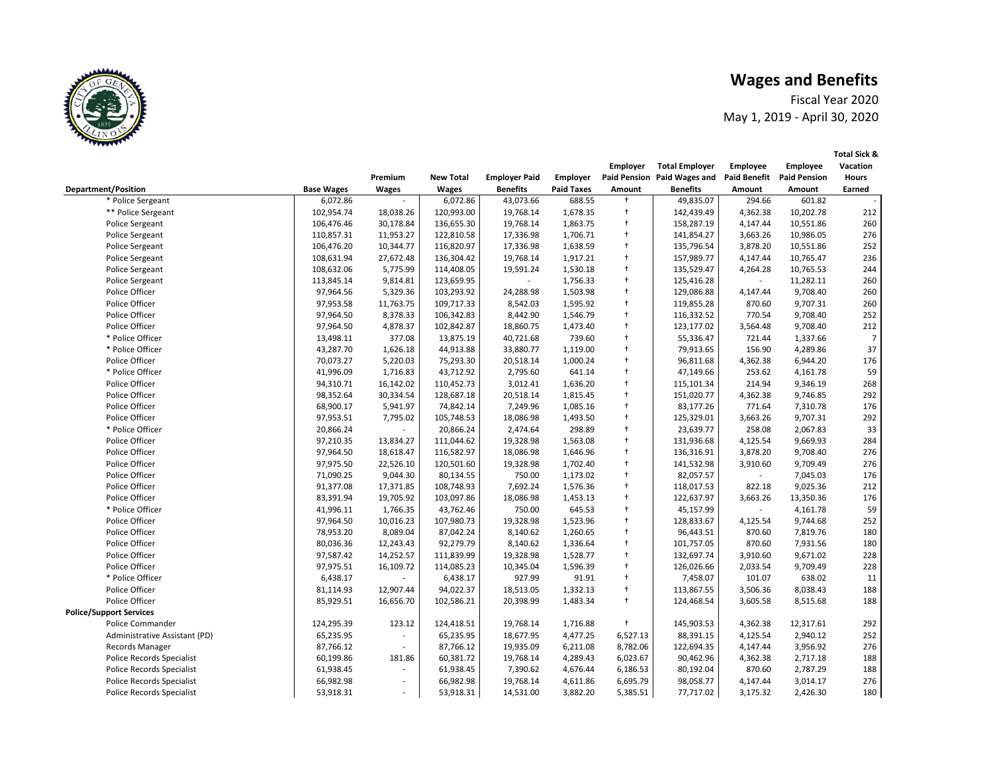Fiscal Year 2020 May 1, 2019 - April 30, 2020

|                                  |                   |               |                  |                      |                   | Employer             | <b>Total Employer</b>       | Employee                    | <b>Employee</b>     | Vacation       |
|----------------------------------|-------------------|---------------|------------------|----------------------|-------------------|----------------------|-----------------------------|-----------------------------|---------------------|----------------|
|                                  |                   | Premium       | <b>New Total</b> | <b>Employer Paid</b> | Employer          |                      | Paid Pension Paid Wages and | <b>Paid Benefit</b>         | <b>Paid Pension</b> | <b>Hours</b>   |
| <b>Department/Position</b>       | <b>Base Wages</b> | <b>Wages</b>  | <b>Wages</b>     | <b>Benefits</b>      | <b>Paid Taxes</b> | Amount               | <b>Benefits</b>             | Amount                      | Amount              | Earned         |
| * Police Sergeant                | 6,072.86          |               | 6,072.86         | 43,073.66            | 688.55            | $\ddagger$           | 49,835.07                   | 294.66                      | 601.82              |                |
| ** Police Sergeant               | 102,954.74        | 18,038.26     | 120,993.00       | 19,768.14            | 1,678.35          | $\ddot{\phantom{1}}$ | 142,439.49                  | 4,362.38                    | 10,202.78           | 212            |
| <b>Police Sergeant</b>           | 106,476.46        | 30,178.84     | 136,655.30       | 19,768.14            | 1,863.75          | $\ddagger$           | 158,287.19                  | 4,147.44                    | 10,551.86           | 260            |
| Police Sergeant                  | 110,857.31        | 11,953.27     | 122,810.58       | 17,336.98            | 1,706.71          | $\ddagger$           | 141,854.27                  | 3,663.26                    | 10,986.05           | 276            |
| <b>Police Sergeant</b>           | 106,476.20        | 10,344.77     | 116,820.97       | 17,336.98            | 1,638.59          | $\ddagger$           | 135,796.54                  | 3,878.20                    | 10,551.86           | 252            |
| <b>Police Sergeant</b>           | 108,631.94        | 27,672.48     | 136,304.42       | 19,768.14            | 1,917.21          | $\ddagger$           | 157,989.77                  | 4,147.44                    | 10,765.47           | 236            |
| Police Sergeant                  | 108,632.06        | 5,775.99      | 114,408.05       | 19,591.24            | 1,530.18          | $\ddagger$           | 135,529.47                  | 4,264.28                    | 10,765.53           | 244            |
| <b>Police Sergeant</b>           | 113,845.14        | 9,814.81      | 123,659.95       |                      | 1,756.33          | $\ddagger$           | 125,416.28                  | $\mathcal{L}_{\mathcal{A}}$ | 11,282.11           | 260            |
| Police Officer                   | 97,964.56         | 5,329.36      | 103,293.92       | 24,288.98            | 1,503.98          | $\ddagger$           | 129,086.88                  | 4,147.44                    | 9,708.40            | 260            |
| Police Officer                   | 97,953.58         | 11,763.75     | 109,717.33       | 8,542.03             | 1,595.92          | $\ddagger$           | 119,855.28                  | 870.60                      | 9,707.31            | 260            |
| Police Officer                   | 97,964.50         | 8,378.33      | 106,342.83       | 8,442.90             | 1,546.79          | $\ddagger$           | 116,332.52                  | 770.54                      | 9,708.40            | 252            |
| Police Officer                   | 97,964.50         | 4,878.37      | 102,842.87       | 18,860.75            | 1,473.40          | $\ddagger$           | 123,177.02                  | 3,564.48                    | 9,708.40            | 212            |
| * Police Officer                 | 13,498.11         | 377.08        | 13,875.19        | 40,721.68            | 739.60            | $\ddagger$           | 55,336.47                   | 721.44                      | 1,337.66            | $\overline{7}$ |
| * Police Officer                 | 43,287.70         | 1,626.18      | 44,913.88        | 33,880.77            | 1,119.00          | $\ddagger$           | 79,913.65                   | 156.90                      | 4,289.86            | 37             |
| Police Officer                   | 70,073.27         | 5,220.03      | 75,293.30        | 20,518.14            | 1,000.24          | $^\mathrm{+}$        | 96,811.68                   | 4,362.38                    | 6,944.20            | 176            |
| * Police Officer                 | 41,996.09         | 1,716.83      | 43,712.92        | 2,795.60             | 641.14            | $\ddagger$           | 47,149.66                   | 253.62                      | 4,161.78            | 59             |
| Police Officer                   | 94,310.71         | 16,142.02     | 110,452.73       | 3,012.41             | 1,636.20          | $\ddagger$           | 115,101.34                  | 214.94                      | 9,346.19            | 268            |
| Police Officer                   | 98,352.64         | 30,334.54     | 128,687.18       | 20,518.14            | 1,815.45          | $\ddot{\phantom{1}}$ | 151,020.77                  | 4,362.38                    | 9,746.85            | 292            |
| Police Officer                   | 68,900.17         | 5,941.97      | 74,842.14        | 7,249.96             | 1,085.16          | $\ddagger$           | 83,177.26                   | 771.64                      | 7,310.78            | 176            |
| Police Officer                   | 97,953.51         | 7,795.02      | 105,748.53       | 18,086.98            | 1,493.50          | $\ddagger$           | 125,329.01                  | 3,663.26                    | 9,707.31            | 292            |
| * Police Officer                 | 20,866.24         | $\sim$        | 20,866.24        | 2,474.64             | 298.89            | $\ddot{\phantom{1}}$ | 23,639.77                   | 258.08                      | 2,067.83            | 33             |
| Police Officer                   | 97,210.35         | 13,834.27     | 111,044.62       | 19,328.98            | 1,563.08          | $\ddagger$           | 131,936.68                  | 4,125.54                    | 9,669.93            | 284            |
| Police Officer                   | 97,964.50         | 18,618.47     | 116,582.97       | 18,086.98            | 1,646.96          | $\ddot{\phantom{1}}$ | 136,316.91                  | 3,878.20                    | 9,708.40            | 276            |
| Police Officer                   | 97,975.50         | 22,526.10     | 120,501.60       | 19,328.98            | 1,702.40          | $\ddagger$           | 141,532.98                  | 3,910.60                    | 9,709.49            | 276            |
| Police Officer                   | 71,090.25         | 9,044.30      | 80,134.55        | 750.00               | 1,173.02          | $\ddagger$           | 82,057.57                   |                             | 7,045.03            | 176            |
| Police Officer                   | 91,377.08         | 17,371.85     | 108,748.93       | 7,692.24             | 1,576.36          | $\ddagger$           | 118,017.53                  | 822.18                      | 9,025.36            | 212            |
| Police Officer                   | 83,391.94         | 19,705.92     | 103,097.86       | 18,086.98            | 1,453.13          | $\ddagger$           | 122,637.97                  | 3,663.26                    | 13,350.36           | 176            |
| * Police Officer                 | 41,996.11         | 1,766.35      | 43,762.46        | 750.00               | 645.53            | $\ddagger$           | 45,157.99                   | $\overline{\phantom{a}}$    | 4,161.78            | 59             |
| Police Officer                   | 97,964.50         | 10,016.23     | 107,980.73       | 19,328.98            | 1,523.96          | $\ddagger$           | 128,833.67                  | 4,125.54                    | 9,744.68            | 252            |
| Police Officer                   | 78,953.20         | 8,089.04      | 87,042.24        | 8,140.62             | 1,260.65          | $\ddagger$           | 96,443.51                   | 870.60                      | 7,819.76            | 180            |
| Police Officer                   | 80,036.36         | 12,243.43     | 92,279.79        | 8,140.62             | 1,336.64          | $\ddagger$           | 101,757.05                  | 870.60                      | 7,931.56            | 180            |
| Police Officer                   | 97,587.42         | 14,252.57     | 111,839.99       | 19,328.98            | 1,528.77          | $\ddagger$           | 132,697.74                  | 3,910.60                    | 9,671.02            | 228            |
| Police Officer                   | 97,975.51         | 16,109.72     | 114,085.23       | 10,345.04            | 1,596.39          | $\ddagger$           | 126,026.66                  | 2,033.54                    | 9,709.49            | 228            |
| * Police Officer                 | 6,438.17          | $\mathcal{L}$ | 6,438.17         | 927.99               | 91.91             | $\ddagger$           | 7,458.07                    | 101.07                      | 638.02              | 11             |
| Police Officer                   | 81,114.93         | 12,907.44     | 94,022.37        | 18,513.05            | 1,332.13          | $\ddagger$           | 113,867.55                  | 3,506.36                    | 8,038.43            | 188            |
| Police Officer                   | 85,929.51         | 16,656.70     | 102,586.21       | 20,398.99            | 1,483.34          | $\ddagger$           | 124,468.54                  | 3,605.58                    | 8,515.68            | 188            |
| <b>Police/Support Services</b>   |                   |               |                  |                      |                   |                      |                             |                             |                     |                |
| <b>Police Commander</b>          | 124,295.39        | 123.12        | 124,418.51       | 19,768.14            | 1,716.88          | $\ddagger$           | 145,903.53                  | 4,362.38                    | 12,317.61           | 292            |
| Administrative Assistant (PD)    | 65,235.95         | $\sim$        | 65,235.95        | 18,677.95            | 4,477.25          | 6,527.13             | 88,391.15                   | 4,125.54                    | 2,940.12            | 252            |
| <b>Records Manager</b>           | 87,766.12         | $\mathcal{L}$ | 87,766.12        | 19,935.09            | 6,211.08          | 8,782.06             | 122,694.35                  | 4,147.44                    | 3,956.92            | 276            |
| <b>Police Records Specialist</b> | 60,199.86         | 181.86        | 60,381.72        | 19,768.14            | 4,289.43          | 6,023.67             | 90,462.96                   | 4,362.38                    | 2,717.18            | 188            |
| <b>Police Records Specialist</b> | 61,938.45         | $\sim$        | 61,938.45        | 7,390.62             | 4,676.44          | 6,186.53             | 80,192.04                   | 870.60                      | 2,787.29            | 188            |
| <b>Police Records Specialist</b> | 66,982.98         | $\sim$        | 66,982.98        | 19,768.14            | 4,611.86          | 6,695.79             | 98,058.77                   | 4,147.44                    | 3,014.17            | 276            |
| <b>Police Records Specialist</b> | 53,918.31         |               | 53,918.31        | 14,531.00            | 3,882.20          | 5,385.51             | 77,717.02                   | 3,175.32                    | 2,426.30            | 180            |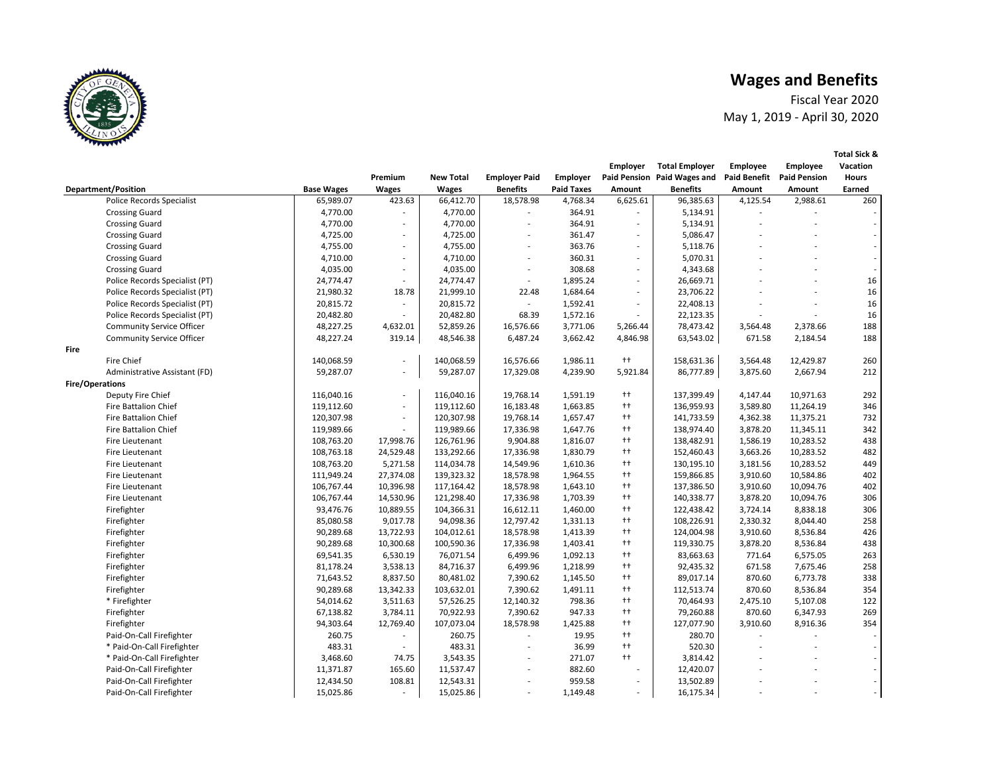**Total Sick &** 

Fiscal Year 2020 May 1, 2019 - April 30, 2020

|      |                                  |                   |                          |                  |                          |                   | <b>Employer</b>          | <b>Total Employer</b>       | <b>Employee</b>     | <b>Employee</b>     | Vacation                    |
|------|----------------------------------|-------------------|--------------------------|------------------|--------------------------|-------------------|--------------------------|-----------------------------|---------------------|---------------------|-----------------------------|
|      |                                  |                   | Premium                  | <b>New Total</b> | <b>Employer Paid</b>     | <b>Employer</b>   |                          | Paid Pension Paid Wages and | <b>Paid Benefit</b> | <b>Paid Pension</b> | <b>Hours</b>                |
|      | <b>Department/Position</b>       | <b>Base Wages</b> | <b>Wages</b>             | Wages            | <b>Benefits</b>          | <b>Paid Taxes</b> | Amount                   | <b>Benefits</b>             | Amount              | Amount              | Earned                      |
|      | <b>Police Records Specialist</b> | 65,989.07         | 423.63                   | 66,412.70        | 18,578.98                | 4,768.34          | 6,625.61                 | 96,385.63                   | 4,125.54            | 2,988.61            | 260                         |
|      | <b>Crossing Guard</b>            | 4,770.00          |                          | 4,770.00         |                          | 364.91            |                          | 5,134.91                    |                     |                     |                             |
|      | <b>Crossing Guard</b>            | 4,770.00          | ÷.                       | 4,770.00         | $\sim$                   | 364.91            | $\sim$                   | 5,134.91                    |                     |                     | $\mathcal{L}_{\mathcal{A}}$ |
|      | <b>Crossing Guard</b>            | 4,725.00          |                          | 4,725.00         |                          | 361.47            | $\overline{\phantom{a}}$ | 5,086.47                    |                     |                     |                             |
|      | <b>Crossing Guard</b>            | 4,755.00          | $\overline{a}$           | 4,755.00         | $\mathbf{r}$             | 363.76            | $\mathcal{L}$            | 5,118.76                    |                     |                     |                             |
|      | <b>Crossing Guard</b>            | 4,710.00          | $\overline{\phantom{a}}$ | 4,710.00         | $\overline{\phantom{a}}$ | 360.31            | $\overline{\phantom{a}}$ | 5,070.31                    |                     |                     | $\overline{\phantom{a}}$    |
|      | <b>Crossing Guard</b>            | 4,035.00          | ٠                        | 4,035.00         |                          | 308.68            | $\overline{\phantom{a}}$ | 4,343.68                    |                     |                     |                             |
|      | Police Records Specialist (PT)   | 24,774.47         | $\sim$                   | 24,774.47        | $\overline{\phantom{a}}$ | 1,895.24          | $\sim$                   | 26,669.71                   |                     |                     | 16                          |
|      | Police Records Specialist (PT)   | 21,980.32         | 18.78                    | 21,999.10        | 22.48                    | 1,684.64          | $\overline{\phantom{a}}$ | 23,706.22                   |                     |                     | 16                          |
|      | Police Records Specialist (PT)   | 20,815.72         | ÷.                       | 20,815.72        | $\overline{\phantom{a}}$ | 1,592.41          | ÷.                       | 22,408.13                   |                     | ä,                  | 16                          |
|      | Police Records Specialist (PT)   | 20,482.80         | L.                       | 20,482.80        | 68.39                    | 1,572.16          | ٠                        | 22,123.35                   |                     | ٠                   | 16                          |
|      | <b>Community Service Officer</b> | 48,227.25         | 4,632.01                 | 52,859.26        | 16,576.66                | 3,771.06          | 5,266.44                 | 78,473.42                   | 3,564.48            | 2,378.66            | 188                         |
|      | <b>Community Service Officer</b> | 48,227.24         | 319.14                   | 48,546.38        | 6,487.24                 | 3,662.42          | 4,846.98                 | 63,543.02                   | 671.58              | 2,184.54            | 188                         |
| Fire |                                  |                   |                          |                  |                          |                   |                          |                             |                     |                     |                             |
|      | <b>Fire Chief</b>                | 140,068.59        | $\sim$                   | 140,068.59       | 16,576.66                | 1,986.11          | $^{++}$                  | 158,631.36                  | 3,564.48            | 12,429.87           | 260                         |
|      | Administrative Assistant (FD)    | 59,287.07         | $\sim$                   | 59,287.07        | 17,329.08                | 4,239.90          | 5,921.84                 | 86,777.89                   | 3,875.60            | 2,667.94            | 212                         |
|      | Fire/Operations                  |                   |                          |                  |                          |                   |                          |                             |                     |                     |                             |
|      | Deputy Fire Chief                | 116,040.16        | $\sim$                   | 116,040.16       | 19,768.14                | 1,591.19          | $^{++}$                  | 137,399.49                  | 4,147.44            | 10,971.63           | 292                         |
|      | <b>Fire Battalion Chief</b>      | 119,112.60        | ÷.                       | 119,112.60       | 16,183.48                | 1,663.85          | $^{++}$                  | 136,959.93                  | 3,589.80            | 11,264.19           | 346                         |
|      | <b>Fire Battalion Chief</b>      | 120,307.98        | $\overline{\phantom{a}}$ | 120,307.98       | 19,768.14                | 1,657.47          | $^{++}$                  | 141,733.59                  | 4,362.38            | 11,375.21           | 732                         |
|      | <b>Fire Battalion Chief</b>      | 119,989.66        | ä,                       | 119,989.66       | 17,336.98                | 1,647.76          | $^{++}$                  | 138,974.40                  | 3,878.20            | 11,345.11           | 342                         |
|      | Fire Lieutenant                  | 108,763.20        | 17,998.76                | 126,761.96       | 9,904.88                 | 1,816.07          | $^{++}$                  | 138,482.91                  | 1,586.19            | 10,283.52           | 438                         |
|      | Fire Lieutenant                  | 108,763.18        | 24,529.48                | 133,292.66       | 17,336.98                | 1,830.79          | $^{++}$                  | 152,460.43                  | 3,663.26            | 10,283.52           | 482                         |
|      | Fire Lieutenant                  | 108,763.20        | 5,271.58                 | 114,034.78       | 14,549.96                | 1,610.36          | $^{++}$                  | 130,195.10                  | 3,181.56            | 10,283.52           | 449                         |
|      | Fire Lieutenant                  | 111,949.24        | 27,374.08                | 139,323.32       | 18,578.98                | 1,964.55          | $^{++}$                  | 159,866.85                  | 3,910.60            | 10,584.86           | 402                         |
|      | Fire Lieutenant                  | 106,767.44        | 10,396.98                | 117,164.42       | 18,578.98                | 1,643.10          | $^{++}$                  | 137,386.50                  | 3,910.60            | 10,094.76           | 402                         |
|      | Fire Lieutenant                  | 106,767.44        | 14,530.96                | 121,298.40       | 17,336.98                | 1,703.39          | $^{++}$                  | 140,338.77                  | 3,878.20            | 10,094.76           | 306                         |
|      | Firefighter                      | 93,476.76         | 10,889.55                | 104,366.31       | 16,612.11                | 1,460.00          | $^{++}$                  | 122,438.42                  | 3,724.14            | 8,838.18            | 306                         |
|      | Firefighter                      | 85,080.58         | 9,017.78                 | 94,098.36        | 12,797.42                | 1,331.13          | $^{++}$                  | 108,226.91                  | 2,330.32            | 8,044.40            | 258                         |
|      | Firefighter                      | 90,289.68         | 13,722.93                | 104,012.61       | 18,578.98                | 1,413.39          | $^{++}$                  | 124,004.98                  | 3,910.60            | 8,536.84            | 426                         |
|      | Firefighter                      | 90,289.68         | 10,300.68                | 100,590.36       | 17,336.98                | 1,403.41          | $^{++}$                  | 119,330.75                  | 3,878.20            | 8,536.84            | 438                         |
|      | Firefighter                      | 69,541.35         | 6,530.19                 | 76,071.54        | 6,499.96                 | 1,092.13          | $^{++}$                  | 83,663.63                   | 771.64              | 6,575.05            | 263                         |
|      | Firefighter                      | 81,178.24         | 3,538.13                 | 84,716.37        | 6,499.96                 | 1,218.99          | $^{++}$                  | 92,435.32                   | 671.58              | 7,675.46            | 258                         |
|      | Firefighter                      | 71,643.52         | 8,837.50                 | 80,481.02        | 7,390.62                 | 1,145.50          | $^{++}$                  | 89,017.14                   | 870.60              | 6,773.78            | 338                         |
|      | Firefighter                      | 90,289.68         | 13,342.33                | 103,632.01       | 7,390.62                 | 1,491.11          | $^{++}$                  | 112,513.74                  | 870.60              | 8,536.84            | 354                         |
|      | * Firefighter                    | 54,014.62         | 3,511.63                 | 57,526.25        | 12,140.32                | 798.36            | $^{++}$                  | 70,464.93                   | 2,475.10            | 5,107.08            | 122                         |
|      | Firefighter                      | 67,138.82         | 3,784.11                 | 70,922.93        | 7,390.62                 | 947.33            | $^{++}$                  | 79,260.88                   | 870.60              | 6,347.93            | 269                         |
|      | Firefighter                      | 94,303.64         | 12,769.40                | 107,073.04       | 18,578.98                | 1,425.88          | $^{++}$                  | 127,077.90                  | 3,910.60            | 8,916.36            | 354                         |
|      | Paid-On-Call Firefighter         | 260.75            |                          | 260.75           |                          | 19.95             | $^{++}$                  | 280.70                      |                     |                     |                             |
|      | * Paid-On-Call Firefighter       | 483.31            | ÷.                       | 483.31           |                          | 36.99             | $^{++}$                  | 520.30                      |                     |                     |                             |
|      | * Paid-On-Call Firefighter       | 3,468.60          | 74.75                    | 3,543.35         |                          | 271.07            | $^{++}$                  | 3,814.42                    |                     |                     |                             |
|      | Paid-On-Call Firefighter         | 11,371.87         | 165.60                   | 11,537.47        |                          | 882.60            | $\overline{a}$           | 12,420.07                   |                     |                     |                             |
|      | Paid-On-Call Firefighter         | 12,434.50         | 108.81                   | 12,543.31        |                          | 959.58            | ٠                        | 13,502.89                   |                     |                     | $\overline{\phantom{a}}$    |
|      | Paid-On-Call Firefighter         | 15,025.86         | ÷.                       | 15,025.86        |                          | 1,149.48          | ÷.                       | 16,175.34                   |                     |                     |                             |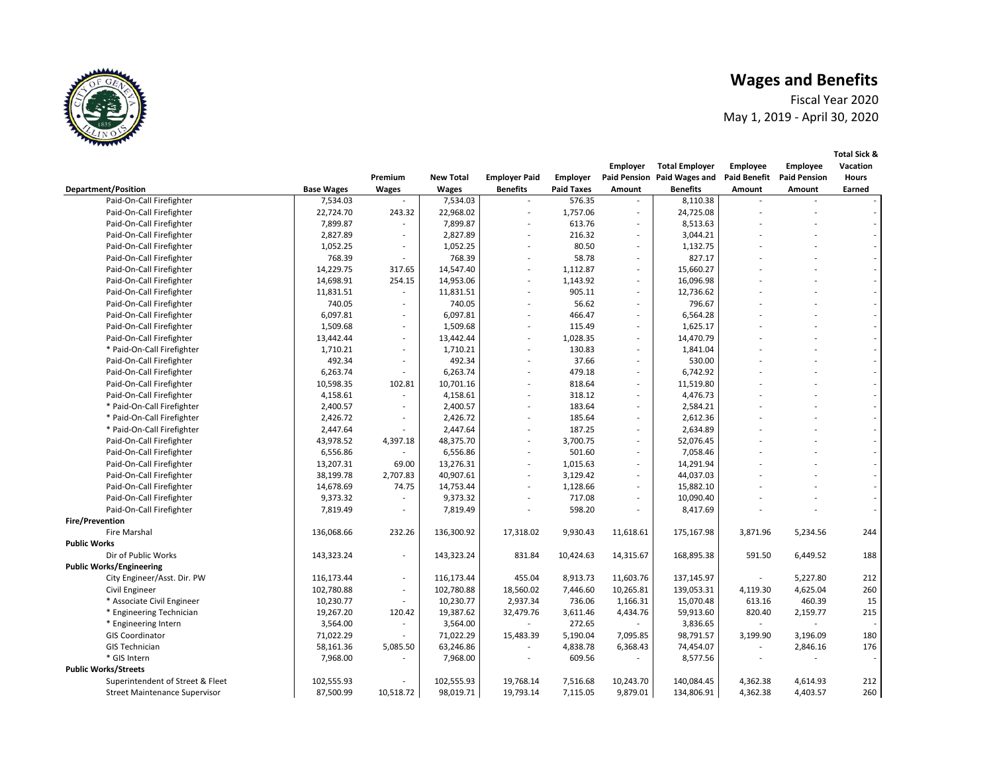Fiscal Year 2020 May 1, 2019 - April 30, 2020

|                                      |                   |                          |                  |                          |                   | <b>Employer</b>          | <b>Total Employer</b>       | <b>Employee</b>          | <b>Employee</b>             | Vacation                 |
|--------------------------------------|-------------------|--------------------------|------------------|--------------------------|-------------------|--------------------------|-----------------------------|--------------------------|-----------------------------|--------------------------|
|                                      |                   | Premium                  | <b>New Total</b> | <b>Employer Paid</b>     | <b>Employer</b>   |                          | Paid Pension Paid Wages and | <b>Paid Benefit</b>      | <b>Paid Pension</b>         | <b>Hours</b>             |
| <b>Department/Position</b>           | <b>Base Wages</b> | <b>Wages</b>             | <b>Wages</b>     | <b>Benefits</b>          | <b>Paid Taxes</b> | Amount                   | <b>Benefits</b>             | Amount                   | Amount                      | Earned                   |
| Paid-On-Call Firefighter             | 7,534.03          |                          | 7,534.03         |                          | 576.35            |                          | 8,110.38                    |                          |                             |                          |
| Paid-On-Call Firefighter             | 22,724.70         | 243.32                   | 22,968.02        | $\overline{a}$           | 1,757.06          | ٠                        | 24,725.08                   |                          |                             |                          |
| Paid-On-Call Firefighter             | 7,899.87          | $\sim$                   | 7,899.87         | $\overline{a}$           | 613.76            | ٠                        | 8,513.63                    |                          |                             |                          |
| Paid-On-Call Firefighter             | 2,827.89          | $\overline{\phantom{a}}$ | 2,827.89         |                          | 216.32            | $\overline{\phantom{a}}$ | 3,044.21                    |                          |                             |                          |
| Paid-On-Call Firefighter             | 1,052.25          | $\sim$                   | 1,052.25         |                          | 80.50             | ÷.                       | 1,132.75                    |                          |                             |                          |
| Paid-On-Call Firefighter             | 768.39            | $\sim$                   | 768.39           | $\overline{a}$           | 58.78             | $\overline{\phantom{a}}$ | 827.17                      |                          |                             |                          |
| Paid-On-Call Firefighter             | 14,229.75         | 317.65                   | 14,547.40        |                          | 1,112.87          | ٠                        | 15,660.27                   |                          |                             |                          |
| Paid-On-Call Firefighter             | 14,698.91         | 254.15                   | 14,953.06        | $\overline{\phantom{a}}$ | 1,143.92          | $\overline{\phantom{a}}$ | 16,096.98                   |                          |                             | $\sim$                   |
| Paid-On-Call Firefighter             | 11,831.51         | $\sim$                   | 11,831.51        |                          | 905.11            | $\overline{\phantom{a}}$ | 12,736.62                   |                          |                             |                          |
| Paid-On-Call Firefighter             | 740.05            | $\sim$                   | 740.05           |                          | 56.62             | ٠                        | 796.67                      |                          |                             |                          |
| Paid-On-Call Firefighter             | 6,097.81          | $\sim$                   | 6,097.81         | $\overline{\phantom{a}}$ | 466.47            | $\overline{\phantom{a}}$ | 6,564.28                    |                          |                             |                          |
| Paid-On-Call Firefighter             | 1,509.68          | $\overline{\phantom{a}}$ | 1,509.68         |                          | 115.49            | $\overline{\phantom{a}}$ | 1,625.17                    |                          |                             |                          |
| Paid-On-Call Firefighter             | 13,442.44         | $\sim$                   | 13,442.44        | $\overline{a}$           | 1,028.35          | ÷.                       | 14,470.79                   |                          |                             | $\sim$                   |
| * Paid-On-Call Firefighter           | 1,710.21          | $\sim$                   | 1,710.21         |                          | 130.83            | $\overline{\phantom{a}}$ | 1,841.04                    |                          |                             |                          |
| Paid-On-Call Firefighter             | 492.34            | $\sim$                   | 492.34           |                          | 37.66             | ٠                        | 530.00                      |                          |                             |                          |
| Paid-On-Call Firefighter             | 6,263.74          | $\overline{\phantom{a}}$ | 6,263.74         | $\overline{a}$           | 479.18            | $\overline{\phantom{a}}$ | 6,742.92                    |                          |                             |                          |
| Paid-On-Call Firefighter             | 10,598.35         | 102.81                   | 10,701.16        |                          | 818.64            | $\overline{\phantom{a}}$ | 11,519.80                   |                          |                             |                          |
| Paid-On-Call Firefighter             | 4,158.61          | $\overline{\phantom{a}}$ | 4,158.61         | $\overline{a}$           | 318.12            | ٠                        | 4,476.73                    |                          |                             | $\sim$                   |
| * Paid-On-Call Firefighter           | 2,400.57          |                          | 2,400.57         |                          | 183.64            |                          | 2,584.21                    |                          |                             |                          |
| * Paid-On-Call Firefighter           | 2,426.72          | $\sim$                   | 2,426.72         |                          | 185.64            | $\sim$                   | 2,612.36                    |                          |                             |                          |
| * Paid-On-Call Firefighter           | 2,447.64          |                          | 2,447.64         | $\overline{\phantom{a}}$ | 187.25            | $\overline{\phantom{a}}$ | 2,634.89                    |                          |                             |                          |
| Paid-On-Call Firefighter             | 43,978.52         | 4,397.18                 | 48,375.70        | $\overline{\phantom{a}}$ | 3,700.75          | ٠                        | 52,076.45                   |                          |                             |                          |
| Paid-On-Call Firefighter             | 6,556.86          | $\sim$                   | 6,556.86         | $\overline{a}$           | 501.60            | ٠                        | 7,058.46                    |                          |                             | $\overline{\phantom{a}}$ |
| Paid-On-Call Firefighter             | 13,207.31         | 69.00                    | 13,276.31        |                          | 1,015.63          | $\overline{\phantom{a}}$ | 14,291.94                   |                          |                             |                          |
| Paid-On-Call Firefighter             | 38,199.78         | 2,707.83                 | 40,907.61        | $\overline{\phantom{a}}$ | 3,129.42          | ÷.                       | 44,037.03                   |                          |                             |                          |
| Paid-On-Call Firefighter             | 14,678.69         | 74.75                    | 14,753.44        | $\overline{a}$           | 1,128.66          | $\overline{\phantom{a}}$ | 15,882.10                   |                          |                             |                          |
| Paid-On-Call Firefighter             | 9,373.32          |                          | 9,373.32         |                          | 717.08            | $\overline{\phantom{a}}$ | 10,090.40                   |                          |                             |                          |
| Paid-On-Call Firefighter             | 7,819.49          | $\sim$                   | 7,819.49         |                          | 598.20            | $\overline{\phantom{a}}$ | 8,417.69                    |                          |                             | $\sim$                   |
| <b>Fire/Prevention</b>               |                   |                          |                  |                          |                   |                          |                             |                          |                             |                          |
| Fire Marshal                         | 136,068.66        | 232.26                   | 136,300.92       | 17,318.02                | 9,930.43          | 11,618.61                | 175,167.98                  | 3,871.96                 | 5,234.56                    | 244                      |
| <b>Public Works</b>                  |                   |                          |                  |                          |                   |                          |                             |                          |                             |                          |
| Dir of Public Works                  | 143,323.24        | $\sim$                   | 143,323.24       | 831.84                   | 10,424.63         | 14,315.67                | 168,895.38                  | 591.50                   | 6,449.52                    | 188                      |
| <b>Public Works/Engineering</b>      |                   |                          |                  |                          |                   |                          |                             |                          |                             |                          |
| City Engineer/Asst. Dir. PW          | 116,173.44        | $\sim$                   | 116,173.44       | 455.04                   | 8,913.73          | 11,603.76                | 137,145.97                  |                          | 5,227.80                    | 212                      |
| Civil Engineer                       | 102,780.88        | $\overline{\phantom{a}}$ | 102,780.88       | 18,560.02                | 7,446.60          | 10,265.81                | 139,053.31                  | 4,119.30                 | 4,625.04                    | 260                      |
| * Associate Civil Engineer           | 10,230.77         | $\overline{\phantom{a}}$ | 10,230.77        | 2,937.34                 | 736.06            | 1,166.31                 | 15,070.48                   | 613.16                   | 460.39                      | 15                       |
| * Engineering Technician             | 19,267.20         | 120.42                   | 19,387.62        | 32,479.76                | 3,611.46          | 4,434.76                 | 59,913.60                   | 820.40                   | 2,159.77                    | 215                      |
| * Engineering Intern                 | 3,564.00          | $\sim$                   | 3,564.00         |                          | 272.65            |                          | 3,836.65                    | $\overline{\phantom{a}}$ | $\mathcal{L}_{\mathcal{A}}$ |                          |
| <b>GIS Coordinator</b>               | 71,022.29         |                          | 71,022.29        | 15,483.39                | 5,190.04          | 7,095.85                 | 98,791.57                   | 3,199.90                 | 3,196.09                    | 180                      |
| <b>GIS Technician</b>                | 58,161.36         | 5,085.50                 | 63,246.86        |                          | 4,838.78          | 6,368.43                 | 74,454.07                   |                          | 2,846.16                    | 176                      |
| * GIS Intern                         | 7,968.00          | $\overline{\phantom{a}}$ | 7,968.00         | $\overline{\phantom{a}}$ | 609.56            | $\sim$                   | 8,577.56                    |                          |                             |                          |
| <b>Public Works/Streets</b>          |                   |                          |                  |                          |                   |                          |                             |                          |                             |                          |
| Superintendent of Street & Fleet     | 102,555.93        |                          | 102,555.93       | 19,768.14                | 7,516.68          | 10,243.70                | 140,084.45                  | 4,362.38                 | 4,614.93                    | 212                      |
| <b>Street Maintenance Supervisor</b> | 87,500.99         | 10,518.72                | 98,019.71        | 19,793.14                | 7,115.05          | 9,879.01                 | 134,806.91                  | 4,362.38                 | 4,403.57                    | 260                      |
|                                      |                   |                          |                  |                          |                   |                          |                             |                          |                             |                          |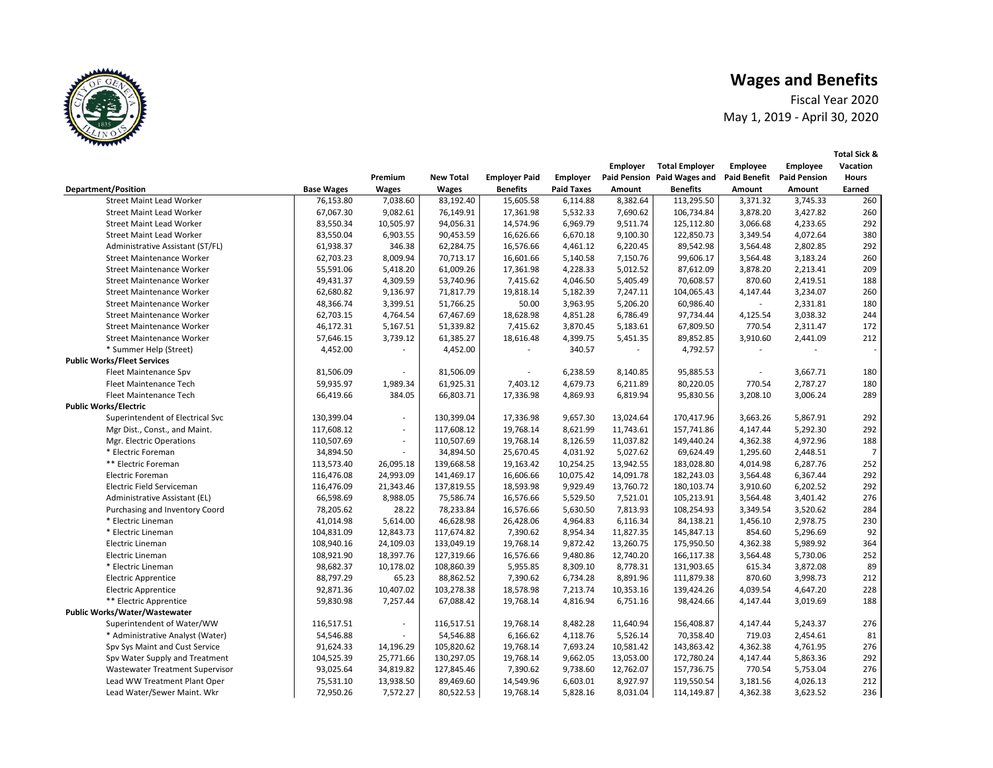Fiscal Year 2020 May 1, 2019 - April 30, 2020

|                                    |                   |                          |                  |                      |                   | <b>Employer</b> | <b>Total Employer</b>       | <b>Employee</b>     | <b>Employee</b>     | Vacation       |
|------------------------------------|-------------------|--------------------------|------------------|----------------------|-------------------|-----------------|-----------------------------|---------------------|---------------------|----------------|
|                                    |                   | Premium                  | <b>New Total</b> | <b>Employer Paid</b> | <b>Employer</b>   |                 | Paid Pension Paid Wages and | <b>Paid Benefit</b> | <b>Paid Pension</b> | <b>Hours</b>   |
| <b>Department/Position</b>         | <b>Base Wages</b> | <b>Wages</b>             | <b>Wages</b>     | <b>Benefits</b>      | <b>Paid Taxes</b> | Amount          | <b>Benefits</b>             | Amount              | Amount              | Earned         |
| <b>Street Maint Lead Worker</b>    | 76,153.80         | 7,038.60                 | 83,192.40        | 15,605.58            | 6,114.88          | 8,382.64        | 113,295.50                  | 3,371.32            | 3,745.33            | 260            |
| <b>Street Maint Lead Worker</b>    | 67,067.30         | 9,082.61                 | 76,149.91        | 17,361.98            | 5,532.33          | 7,690.62        | 106,734.84                  | 3,878.20            | 3,427.82            | 260            |
| <b>Street Maint Lead Worker</b>    | 83,550.34         | 10,505.97                | 94,056.31        | 14,574.96            | 6,969.79          | 9,511.74        | 125,112.80                  | 3,066.68            | 4,233.65            | 292            |
| <b>Street Maint Lead Worker</b>    | 83,550.04         | 6,903.55                 | 90,453.59        | 16,626.66            | 6,670.18          | 9,100.30        | 122,850.73                  | 3,349.54            | 4,072.64            | 380            |
| Administrative Assistant (ST/FL)   | 61,938.37         | 346.38                   | 62,284.75        | 16,576.66            | 4,461.12          | 6,220.45        | 89,542.98                   | 3,564.48            | 2,802.85            | 292            |
| <b>Street Maintenance Worker</b>   | 62,703.23         | 8,009.94                 | 70,713.17        | 16,601.66            | 5,140.58          | 7,150.76        | 99,606.17                   | 3,564.48            | 3,183.24            | 260            |
| <b>Street Maintenance Worker</b>   | 55,591.06         | 5,418.20                 | 61,009.26        | 17,361.98            | 4,228.33          | 5,012.52        | 87,612.09                   | 3,878.20            | 2,213.41            | 209            |
| <b>Street Maintenance Worker</b>   | 49,431.37         | 4,309.59                 | 53,740.96        | 7,415.62             | 4,046.50          | 5,405.49        | 70,608.57                   | 870.60              | 2,419.51            | 188            |
| <b>Street Maintenance Worker</b>   | 62,680.82         | 9,136.97                 | 71,817.79        | 19,818.14            | 5,182.39          | 7,247.11        | 104,065.43                  | 4,147.44            | 3,234.07            | 260            |
| <b>Street Maintenance Worker</b>   | 48,366.74         | 3,399.51                 | 51,766.25        | 50.00                | 3,963.95          | 5,206.20        | 60,986.40                   |                     | 2,331.81            | 180            |
| <b>Street Maintenance Worker</b>   | 62,703.15         | 4,764.54                 | 67,467.69        | 18,628.98            | 4,851.28          | 6,786.49        | 97,734.44                   | 4,125.54            | 3,038.32            | 244            |
| <b>Street Maintenance Worker</b>   | 46,172.31         | 5,167.51                 | 51,339.82        | 7,415.62             | 3,870.45          | 5,183.61        | 67,809.50                   | 770.54              | 2,311.47            | 172            |
| <b>Street Maintenance Worker</b>   | 57,646.15         | 3,739.12                 | 61,385.27        | 18,616.48            | 4,399.75          | 5,451.35        | 89,852.85                   | 3,910.60            | 2,441.09            | 212            |
| * Summer Help (Street)             | 4,452.00          | ÷.                       | 4,452.00         |                      | 340.57            | ٠               | 4,792.57                    |                     | $\sim$              |                |
| <b>Public Works/Fleet Services</b> |                   |                          |                  |                      |                   |                 |                             |                     |                     |                |
| Fleet Maintenance Spv              | 81,506.09         | $\overline{\phantom{a}}$ | 81,506.09        |                      | 6,238.59          | 8,140.85        | 95,885.53                   |                     | 3,667.71            | 180            |
| Fleet Maintenance Tech             | 59,935.97         | 1,989.34                 | 61,925.31        | 7,403.12             | 4,679.73          | 6,211.89        | 80,220.05                   | 770.54              | 2,787.27            | 180            |
| Fleet Maintenance Tech             | 66,419.66         | 384.05                   | 66,803.71        | 17,336.98            | 4,869.93          | 6,819.94        | 95,830.56                   | 3,208.10            | 3,006.24            | 289            |
| <b>Public Works/Electric</b>       |                   |                          |                  |                      |                   |                 |                             |                     |                     |                |
| Superintendent of Electrical Svc   | 130,399.04        | $\overline{\phantom{a}}$ | 130,399.04       | 17,336.98            | 9,657.30          | 13,024.64       | 170,417.96                  | 3,663.26            | 5,867.91            | 292            |
| Mgr Dist., Const., and Maint.      | 117,608.12        | $\overline{\phantom{a}}$ | 117,608.12       | 19,768.14            | 8,621.99          | 11,743.61       | 157,741.86                  | 4,147.44            | 5,292.30            | 292            |
| Mgr. Electric Operations           | 110,507.69        | $\overline{\phantom{a}}$ | 110,507.69       | 19,768.14            | 8,126.59          | 11,037.82       | 149,440.24                  | 4,362.38            | 4,972.96            | 188            |
| * Electric Foreman                 | 34,894.50         | $\overline{\phantom{a}}$ | 34,894.50        | 25,670.45            | 4,031.92          | 5,027.62        | 69,624.49                   | 1,295.60            | 2,448.51            | $\overline{7}$ |
| ** Electric Foreman                | 113,573.40        | 26,095.18                | 139,668.58       | 19,163.42            | 10,254.25         | 13,942.55       | 183,028.80                  | 4,014.98            | 6,287.76            | 252            |
| Electric Foreman                   | 116,476.08        | 24,993.09                | 141,469.17       | 16,606.66            | 10,075.42         | 14,091.78       | 182,243.03                  | 3,564.48            | 6,367.44            | 292            |
| Electric Field Serviceman          | 116,476.09        | 21,343.46                | 137,819.55       | 18,593.98            | 9,929.49          | 13,760.72       | 180,103.74                  | 3,910.60            | 6,202.52            | 292            |
| Administrative Assistant (EL)      | 66,598.69         | 8,988.05                 | 75,586.74        | 16,576.66            | 5,529.50          | 7,521.01        | 105,213.91                  | 3,564.48            | 3,401.42            | 276            |
| Purchasing and Inventory Coord     | 78,205.62         | 28.22                    | 78,233.84        | 16,576.66            | 5,630.50          | 7,813.93        | 108,254.93                  | 3,349.54            | 3,520.62            | 284            |
| * Electric Lineman                 | 41,014.98         | 5,614.00                 | 46,628.98        | 26,428.06            | 4,964.83          | 6,116.34        | 84,138.21                   | 1,456.10            | 2,978.75            | 230            |
| * Electric Lineman                 | 104,831.09        | 12,843.73                | 117,674.82       | 7,390.62             | 8,954.34          | 11,827.35       | 145,847.13                  | 854.60              | 5,296.69            | 92             |
| Electric Lineman                   | 108,940.16        | 24,109.03                | 133,049.19       | 19,768.14            | 9,872.42          | 13,260.75       | 175,950.50                  | 4,362.38            | 5,989.92            | 364            |
| Electric Lineman                   | 108,921.90        | 18,397.76                | 127,319.66       | 16,576.66            | 9,480.86          | 12,740.20       | 166,117.38                  | 3,564.48            | 5,730.06            | 252            |
| * Electric Lineman                 | 98,682.37         | 10,178.02                | 108,860.39       | 5,955.85             | 8,309.10          | 8,778.31        | 131,903.65                  | 615.34              | 3,872.08            | 89             |
| <b>Electric Apprentice</b>         | 88,797.29         | 65.23                    | 88,862.52        | 7,390.62             | 6,734.28          | 8,891.96        | 111,879.38                  | 870.60              | 3,998.73            | 212            |
| <b>Electric Apprentice</b>         | 92,871.36         | 10,407.02                | 103,278.38       | 18,578.98            | 7,213.74          | 10,353.16       | 139,424.26                  | 4,039.54            | 4,647.20            | 228            |
| ** Electric Apprentice             | 59,830.98         | 7,257.44                 | 67,088.42        | 19,768.14            | 4,816.94          | 6,751.16        | 98,424.66                   | 4,147.44            | 3,019.69            | 188            |
| Public Works/Water/Wastewater      |                   |                          |                  |                      |                   |                 |                             |                     |                     |                |
| Superintendent of Water/WW         | 116,517.51        | $\overline{\phantom{a}}$ | 116,517.51       | 19,768.14            | 8,482.28          | 11,640.94       | 156,408.87                  | 4,147.44            | 5,243.37            | 276            |
| * Administrative Analyst (Water)   | 54,546.88         | ÷.                       | 54,546.88        | 6,166.62             | 4,118.76          | 5,526.14        | 70,358.40                   | 719.03              | 2,454.61            | 81             |
| Spv Sys Maint and Cust Service     | 91,624.33         | 14,196.29                | 105,820.62       | 19,768.14            | 7,693.24          | 10,581.42       | 143,863.42                  | 4,362.38            | 4,761.95            | 276            |
| Spv Water Supply and Treatment     | 104,525.39        | 25,771.66                | 130,297.05       | 19,768.14            | 9,662.05          | 13,053.00       | 172,780.24                  | 4,147.44            | 5,863.36            | 292            |
| Wastewater Treatment Supervisor    | 93,025.64         | 34,819.82                | 127,845.46       | 7,390.62             | 9,738.60          | 12,762.07       | 157,736.75                  | 770.54              | 5,753.04            | 276            |
| Lead WW Treatment Plant Oper       | 75,531.10         | 13,938.50                | 89,469.60        | 14,549.96            | 6,603.01          | 8,927.97        | 119,550.54                  | 3,181.56            | 4,026.13            | 212            |
| Lead Water/Sewer Maint. Wkr        | 72,950.26         | 7,572.27                 | 80,522.53        | 19,768.14            | 5,828.16          | 8,031.04        | 114,149.87                  | 4,362.38            | 3,623.52            | 236            |